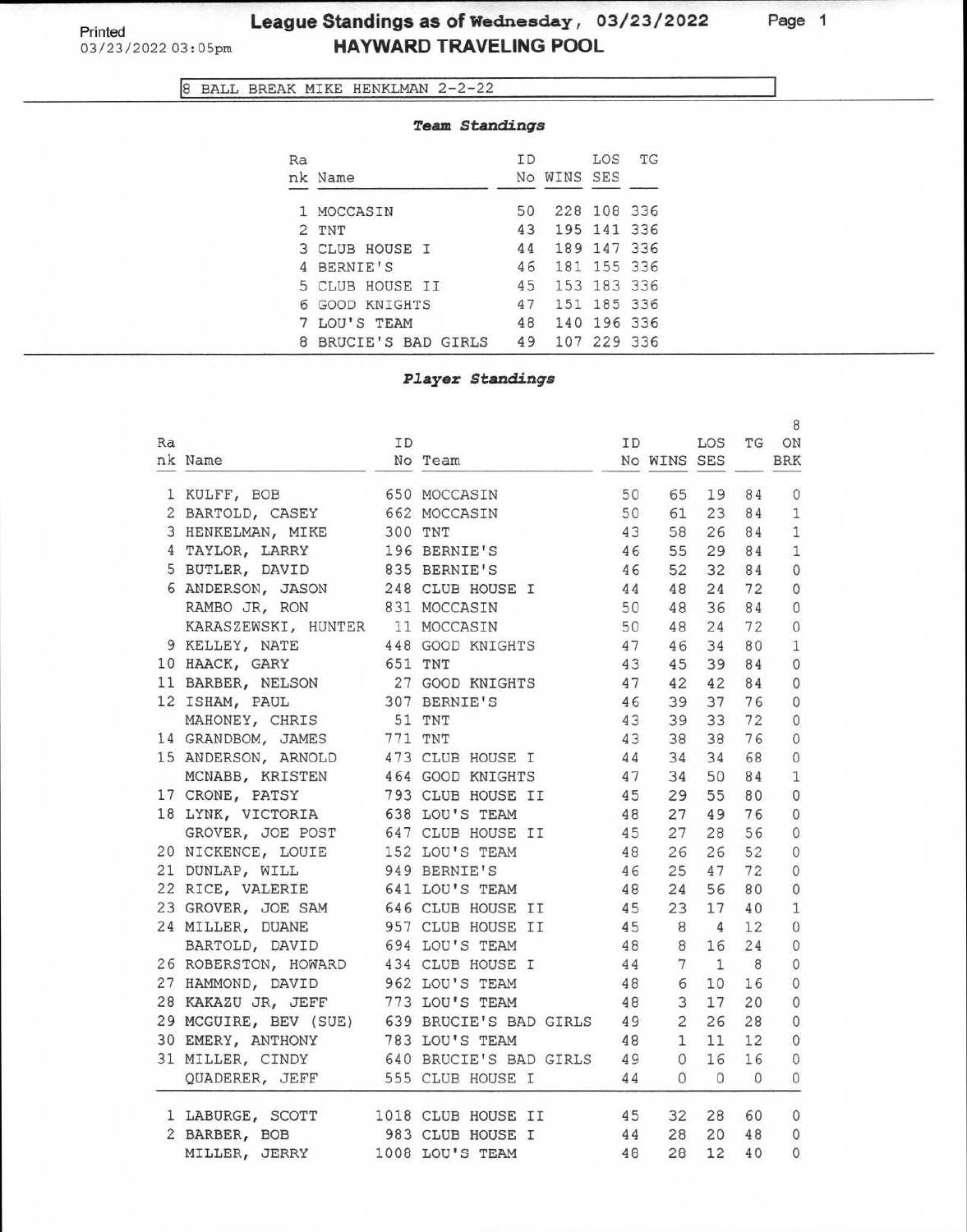## **League Standings as of Wednesday, 03/23/2022 HAYWARD TRAVELING POOL**

**Page 1** 

8 BALL BREAK MIKE HENKLMAN 2-2-22

|    | <b>Team Standings</b> |           |          |             |     |
|----|-----------------------|-----------|----------|-------------|-----|
| Ra |                       | <b>TD</b> |          | LOS         | TG  |
|    | nk Name               | No        | WINS SES |             |     |
| 1. | MOCCASIN              | 50        |          | 228 108 336 |     |
| 2  | TNT                   | 43        |          | 195 141     | 336 |
|    | 3 CLUB HOUSE I        | 44        |          | 189 147     | 336 |
|    | 4 BERNIE'S            | 46        |          | 181 155 336 |     |
|    | 5 CLUB HOUSE II       | 45        |          | 153 183 336 |     |
|    | 6 GOOD KNIGHTS        | 47        |          | 151 185 336 |     |
|    | LOU'S TEAM            | 48        |          | 140 196 336 |     |
| 8  | BRUCIE'S BAD GIRLS    | 49        |          | 107 229 336 |     |

### *Player Standings*

| Ra |                                                                                                                                                                                                                                            | ΙD |                                                |                          |                                         |       | 8              |
|----|--------------------------------------------------------------------------------------------------------------------------------------------------------------------------------------------------------------------------------------------|----|------------------------------------------------|--------------------------|-----------------------------------------|-------|----------------|
|    | nk Name                                                                                                                                                                                                                                    |    | No Team                                        | ID LOS TG<br>No WINS SES |                                         |       | ON<br>BRK      |
|    |                                                                                                                                                                                                                                            |    |                                                |                          |                                         |       |                |
|    | 1 KULFF, BOB                                                                                                                                                                                                                               |    | 650 MOCCASIN                                   | 50 65 19 84              |                                         |       | 0              |
|    | 2 BARTOLD, CASEY 662 MOCCASIN                                                                                                                                                                                                              |    |                                                | 50 61 23 84              |                                         |       | $\mathbf{1}$   |
|    | 3 HENKELMAN, MIKE 300 TNT                                                                                                                                                                                                                  |    |                                                | 43 58 26                 |                                         | 84    | $\overline{1}$ |
|    | 4 TAYLOR, LARRY 196 BERNIE'S<br>5 BUTLER, DAVID 835 BERNIE'S                                                                                                                                                                               |    |                                                | 46 55                    |                                         | 29 84 | $\mathbf{1}$   |
|    |                                                                                                                                                                                                                                            |    |                                                | 46 52 32 84              |                                         |       | $\mathbf{0}$   |
|    | 6 ANDERSON, JASON 248 CLUB HOUSE I<br>RAMBO JR, RON 831 MOCCASIN                                                                                                                                                                           |    |                                                | 44 48                    |                                         | 24 72 | $\mathbf{0}$   |
|    |                                                                                                                                                                                                                                            |    |                                                | 50 48                    |                                         | 36 84 | $\Omega$       |
|    | KARASZEWSKI, HUNTER 11 MOCCASIN                                                                                                                                                                                                            |    |                                                | 50  48  24  72           |                                         |       | $\circ$        |
|    | 9 KELLEY, NATE 448 GOOD KNIGHTS 47 46 34                                                                                                                                                                                                   |    |                                                |                          |                                         | 80    | $\mathbf{1}$   |
|    | 10 HAACK, GARY 651 TNT                                                                                                                                                                                                                     |    |                                                | 43 45 39                 |                                         | 84    | $\circ$        |
|    | 11 BARBER, NELSON 27 GOOD KNIGHTS                                                                                                                                                                                                          |    | 47 42 42                                       |                          |                                         | 84    | $\circ$        |
|    | 12 ISHAM, PAUL 307 BERNIE'S                                                                                                                                                                                                                |    |                                                | 46 39 37                 |                                         | 76    | $\circ$        |
|    | MAHONEY, CHRIS 51 TNT                                                                                                                                                                                                                      |    |                                                | 43 39 33                 |                                         | 72    | $\mathbf{0}$   |
|    |                                                                                                                                                                                                                                            |    |                                                |                          |                                         |       | $\circ$        |
|    |                                                                                                                                                                                                                                            |    |                                                |                          |                                         |       | $\circ$        |
|    |                                                                                                                                                                                                                                            |    |                                                |                          |                                         |       | $\mathbf{1}$   |
|    |                                                                                                                                                                                                                                            |    |                                                |                          |                                         |       | $\circ$        |
|    | 14 GRANDBOM, JAMES 771 TNT 43 38 38 76<br>15 ANDERSON, ARNOLD 473 CLUB HOUSE I 44 34 34 68<br>MCNABB, KRISTEN 464 GOOD KNIGHTS 47 34 50 84<br>17 CRONE, PATSY 793 CLUB HOUSE II 45 29 55 80<br>18 LYNK, VICTORIA 638 LOU'S TEAM 48 27 49 7 |    |                                                |                          |                                         |       | $\circ$        |
|    |                                                                                                                                                                                                                                            |    | GROVER, JOE POST 647 CLUB HOUSE II 45 27 28 56 |                          |                                         |       | $\circ$        |
|    | 20 NICKENCE, LOUIE 152 LOU'S TEAM 48 26 26 52                                                                                                                                                                                              |    |                                                |                          |                                         |       | $\mathbf 0$    |
|    |                                                                                                                                                                                                                                            |    |                                                | 46 25 47                 |                                         | 72    | $\circ$        |
|    | 21 DUNLAP, WILL 949 BERNIE'S<br>22 RICE, VALERIE 641 LOU'S TEAM                                                                                                                                                                            |    |                                                | 48 24 56                 |                                         | 80    | $\mathbf{0}$   |
|    | 23 GROVER, JOE SAM 646 CLUB HOUSE II 45 23 17 40<br>24 MILLER, DUANE 957 CLUB HOUSE II 45 8 4 12<br>BARTOLD, DAVID 694 LOU'S TEAM 48 8 16 24<br>26 ROBERSTON, HOWARD 434 CLUB HOUSE I 44 7 1 8                                             |    |                                                |                          |                                         |       | $\mathbf{1}$   |
|    |                                                                                                                                                                                                                                            |    |                                                |                          |                                         |       | $\circ$        |
|    |                                                                                                                                                                                                                                            |    |                                                |                          |                                         |       | $\circ$        |
|    | 26 ROBERSTON, HOWARD 434 CLUB HOUSE I                                                                                                                                                                                                      |    |                                                |                          |                                         |       | $\circ$        |
|    | 27 HAMMOND, DAVID 962 LOU'S TEAM                                                                                                                                                                                                           |    |                                                | 48 6 10                  |                                         | 16    | $\circ$        |
|    | 28 KAKAZU JR, JEFF 773 LOU'S TEAM 48 3 17                                                                                                                                                                                                  |    |                                                |                          |                                         | 20    | $\mathbf{0}$   |
|    | 29 MCGUIRE, BEV (SUE) 639 BRUCIE'S BAD GIRLS 49 2 26                                                                                                                                                                                       |    |                                                |                          |                                         | 28    | $\circ$        |
|    | 30 EMERY, ANTHONY 783 LOU'S TEAM                                                                                                                                                                                                           |    |                                                | 48 1 11                  |                                         | 12    | $\mathbf{0}$   |
|    | 31 MILLER, CINDY 640 BRUCIE'S BAD GIRLS 49 0 16                                                                                                                                                                                            |    |                                                |                          |                                         | 16    | $\circ$        |
|    | QUADERER, JEFF 555 CLUB HOUSE I                                                                                                                                                                                                            |    | 44                                             |                          | $\begin{matrix} 0 & 0 & 0 \end{matrix}$ |       | 0              |
|    |                                                                                                                                                                                                                                            |    |                                                |                          |                                         |       |                |
|    | 1 LABURGE, SCOTT 1018 CLUB HOUSE II 45 32 28 60                                                                                                                                                                                            |    |                                                |                          |                                         |       | $\circ$        |
|    | 2 BARBER, BOB                                                                                                                                                                                                                              |    | 983 CLUB HOUSE I                               | $44$ $28$ $20$ $48$      |                                         |       | $\circ$        |
|    | MILLER, JERRY 1008 LOU'S TEAM                                                                                                                                                                                                              |    |                                                | 48 28                    | 12                                      | 40    | $\circ$        |